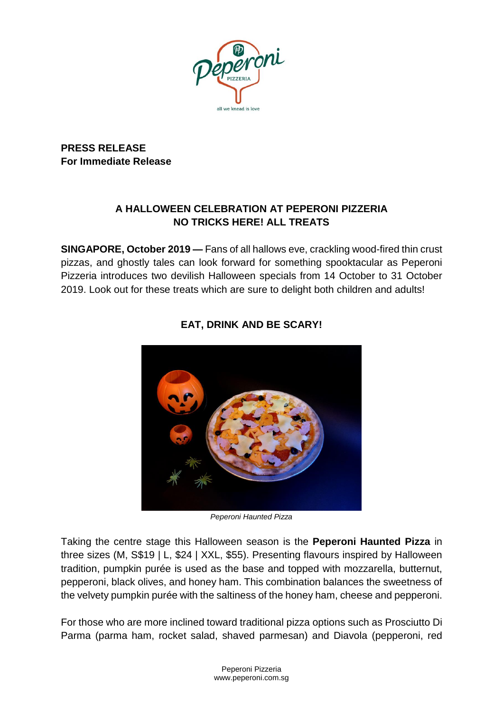

**PRESS RELEASE For Immediate Release**

## **A HALLOWEEN CELEBRATION AT PEPERONI PIZZERIA NO TRICKS HERE! ALL TREATS**

**SINGAPORE, October 2019 —** Fans of all hallows eve, crackling wood-fired thin crust pizzas, and ghostly tales can look forward for something spooktacular as Peperoni Pizzeria introduces two devilish Halloween specials from 14 October to 31 October 2019. Look out for these treats which are sure to delight both children and adults!



# **EAT, DRINK AND BE SCARY!**

*Peperoni Haunted Pizza*

Taking the centre stage this Halloween season is the **Peperoni Haunted Pizza** in three sizes (M, S\$19 | L, \$24 | XXL, \$55). Presenting flavours inspired by Halloween tradition, pumpkin purée is used as the base and topped with mozzarella, butternut, pepperoni, black olives, and honey ham. This combination balances the sweetness of the velvety pumpkin purée with the saltiness of the honey ham, cheese and pepperoni.

For those who are more inclined toward traditional pizza options such as Prosciutto Di Parma (parma ham, rocket salad, shaved parmesan) and Diavola (pepperoni, red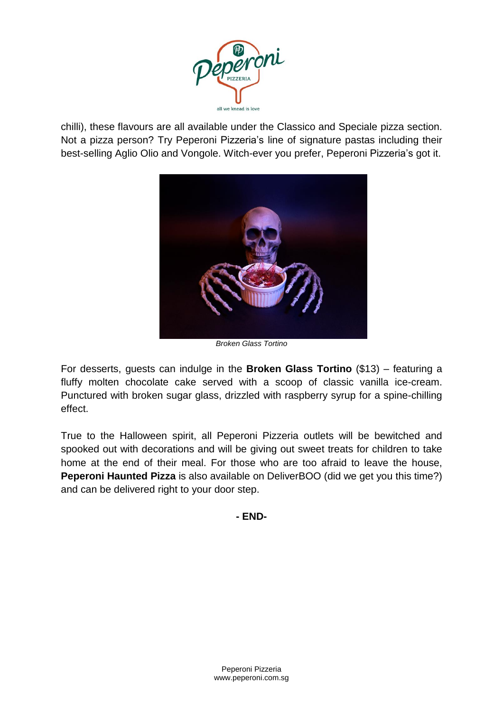

chilli), these flavours are all available under the Classico and Speciale pizza section. Not a pizza person? Try Peperoni Pizzeria's line of signature pastas including their best-selling Aglio Olio and Vongole. Witch-ever you prefer, Peperoni Pizzeria's got it.



*Broken Glass Tortino*

For desserts, guests can indulge in the **Broken Glass Tortino** (\$13) – featuring a fluffy molten chocolate cake served with a scoop of classic vanilla ice-cream. Punctured with broken sugar glass, drizzled with raspberry syrup for a spine-chilling effect.

True to the Halloween spirit, all Peperoni Pizzeria outlets will be bewitched and spooked out with decorations and will be giving out sweet treats for children to take home at the end of their meal. For those who are too afraid to leave the house, **Peperoni Haunted Pizza** is also available on DeliverBOO (did we get you this time?) and can be delivered right to your door step.

**- END-**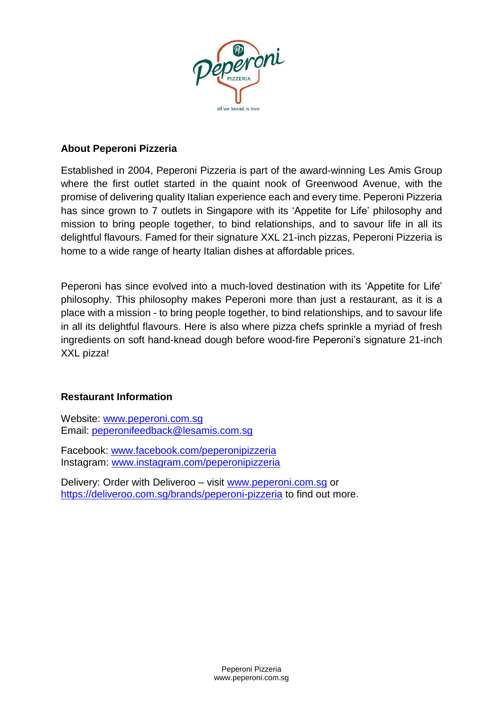

## **About Peperoni Pizzeria**

Established in 2004, Peperoni Pizzeria is part of the award-winning Les Amis Group where the first outlet started in the quaint nook of Greenwood Avenue, with the promise of delivering quality Italian experience each and every time. Peperoni Pizzeria has since grown to 7 outlets in Singapore with its 'Appetite for Life' philosophy and mission to bring people together, to bind relationships, and to savour life in all its delightful flavours. Famed for their signature XXL 21-inch pizzas, Peperoni Pizzeria is home to a wide range of hearty Italian dishes at affordable prices.

Peperoni has since evolved into a much-loved destination with its 'Appetite for Life' philosophy. This philosophy makes Peperoni more than just a restaurant, as it is a place with a mission - to bring people together, to bind relationships, and to savour life in all its delightful flavours. Here is also where pizza chefs sprinkle a myriad of fresh ingredients on soft hand-knead dough before wood-fire Peperoni's signature 21-inch XXL pizza!

## **Restaurant Information**

Website: [www.peperoni.com.sg](http://www.peperoni.com.sg/) Email: peperonifeedback@lesamis.com.sg

Facebook: www.facebook.com/peperonipizzeria Instagram: www.instagram.com/peperonipizzeria

Delivery: Order with Deliveroo – visit www.peperoni.com.sg or https://deliveroo.com.sg/brands/peperoni-pizzeria to find out more.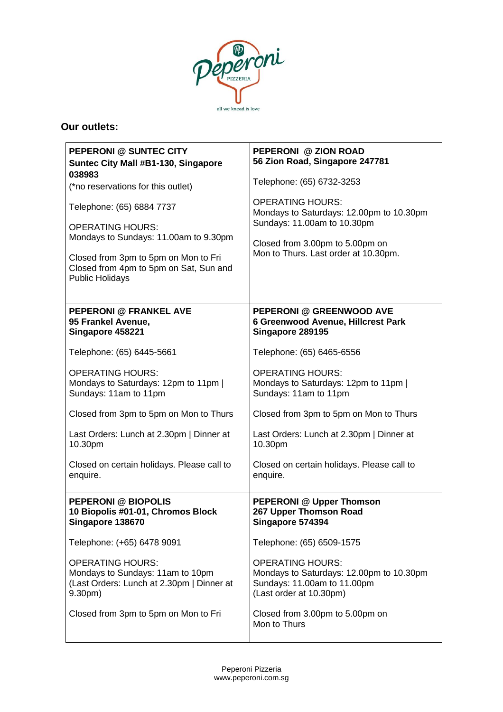

## **Our outlets:**

| <b>PEPERONI @ SUNTEC CITY</b><br><b>Suntec City Mall #B1-130, Singapore</b><br>038983                                          | PEPERONI @ ZION ROAD<br>56 Zion Road, Singapore 247781                                                                        |
|--------------------------------------------------------------------------------------------------------------------------------|-------------------------------------------------------------------------------------------------------------------------------|
| (*no reservations for this outlet)                                                                                             | Telephone: (65) 6732-3253                                                                                                     |
| Telephone: (65) 6884 7737<br><b>OPERATING HOURS:</b>                                                                           | <b>OPERATING HOURS:</b><br>Mondays to Saturdays: 12.00pm to 10.30pm<br>Sundays: 11.00am to 10.30pm                            |
| Mondays to Sundays: 11.00am to 9.30pm                                                                                          | Closed from 3.00pm to 5.00pm on                                                                                               |
| Closed from 3pm to 5pm on Mon to Fri<br>Closed from 4pm to 5pm on Sat, Sun and<br><b>Public Holidays</b>                       | Mon to Thurs. Last order at 10.30pm.                                                                                          |
| <b>PEPERONI @ FRANKEL AVE</b><br>95 Frankel Avenue,<br>Singapore 458221                                                        | <b>PEPERONI @ GREENWOOD AVE</b><br>6 Greenwood Avenue, Hillcrest Park<br>Singapore 289195                                     |
| Telephone: (65) 6445-5661                                                                                                      | Telephone: (65) 6465-6556                                                                                                     |
| <b>OPERATING HOURS:</b><br>Mondays to Saturdays: 12pm to 11pm  <br>Sundays: 11am to 11pm                                       | <b>OPERATING HOURS:</b><br>Mondays to Saturdays: 12pm to 11pm  <br>Sundays: 11am to 11pm                                      |
| Closed from 3pm to 5pm on Mon to Thurs                                                                                         | Closed from 3pm to 5pm on Mon to Thurs                                                                                        |
| Last Orders: Lunch at 2.30pm   Dinner at<br>10.30pm                                                                            | Last Orders: Lunch at 2.30pm   Dinner at<br>10.30pm                                                                           |
| Closed on certain holidays. Please call to<br>enquire.                                                                         | Closed on certain holidays. Please call to<br>enquire.                                                                        |
| <b>PEPERONI @ BIOPOLIS</b><br>10 Biopolis #01-01, Chromos Block<br>Singapore 138670                                            | <b>PEPERONI @ Upper Thomson</b><br>267 Upper Thomson Road<br>Singapore 574394                                                 |
| Telephone: (+65) 6478 9091                                                                                                     | Telephone: (65) 6509-1575                                                                                                     |
| <b>OPERATING HOURS:</b><br>Mondays to Sundays: 11am to 10pm<br>(Last Orders: Lunch at 2.30pm   Dinner at<br>9.30 <sub>pm</sub> | <b>OPERATING HOURS:</b><br>Mondays to Saturdays: 12.00pm to 10.30pm<br>Sundays: 11.00am to 11.00pm<br>(Last order at 10.30pm) |
| Closed from 3pm to 5pm on Mon to Fri                                                                                           | Closed from 3.00pm to 5.00pm on<br>Mon to Thurs                                                                               |